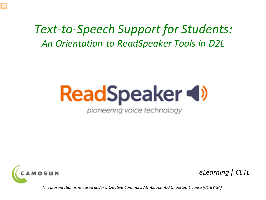#### *An Orientation to ReadSpeaker Tools in D2L Text-to-Speech Support for Students:*

# **ReadSpeaker (1)**

pioneering voice technology



E

*eLearning | CETL*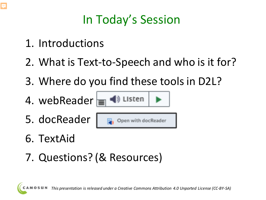## In Today's Session

- 1. Introductions
- 2. What is Text-to-Speech and who is it for?
- 3. Where do you find these tools in D2L?

◀) Listen

4. webReader $\equiv$ 







- 6. TextAid
- 7. Questions? (& Resources)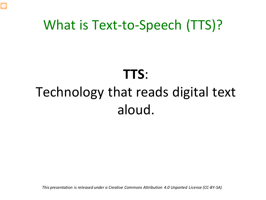#### What is Text-to-Speech (TTS)?

F

## Technology that reads digital text **TTS**: aloud.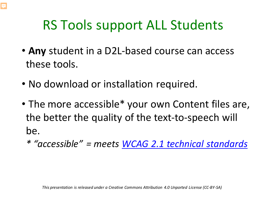## RS Tools support ALL Students

- **Any** student in a D2L-based course can access these tools.
- No download or installation required.
- • The more accessible\* your own Content files are, the better the quality of the text-to-speech will be.
	- *\* "accessible" = meets [WCAG 2.1 technical standards](https://www.w3.org/TR/WCAG20/#guidelines)*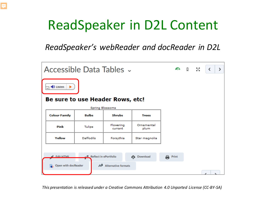#### ReadSpeaker in D2L Content

F

*ReadSpeaker's webReader and docReader in D2L* 

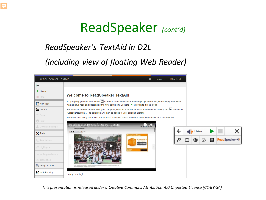#### ReadSpeaker *(cont'd)*

#### *ReadSpeaker's TextAid in D2L*

厚

#### *(including view of floating Web Reader)*